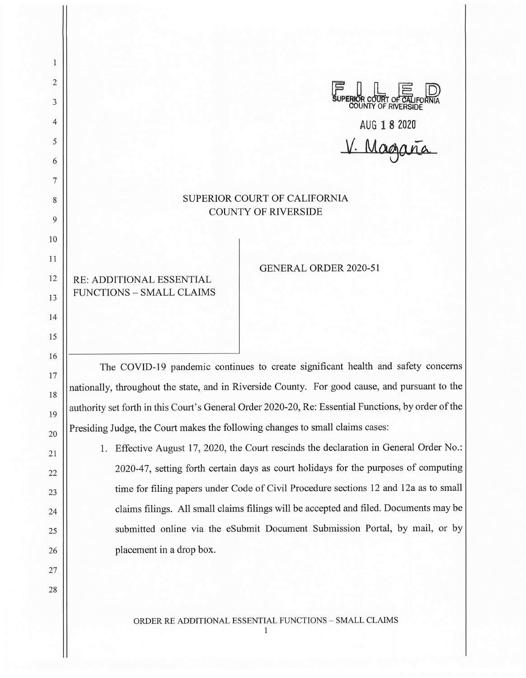$\mathbf{1}$ 2 3 4 AUG **1 8 2020'**  5  $V.$  Magaña 6 7 SUPERIOR COURT OF CALIFORNIA 8 COUNTY OF RIVERSIDE 9 10 11 GENERAL ORDER 2020-51 12 RE: ADDITIONAL ESSENTIAL FUNCTIONS - SMALL CLAIMS 13 14 15 16 The COVID-19 pandemic continues to create significant health and safety concerns 17 nationally, throughout the state, and in Riverside County. For good cause, and pursuant to the 18 authority set forth in this Court's General Order 2020-20, Re: Essential Functions, by order of the 19 Presiding Judge, the Court makes the following changes to small claims cases: 20

1. Effective August 17, 2020, the Court rescinds the declaration in General Order No.: 2020-47, setting forth certain days as court holidays for the purposes of computing time for filing papers under Code of Civil Procedure sections 12 and 12a as to small claims filings. All small claims filings will be accepted and filed. Documents may be submitted online via the eSubmit Document Submission Portal, by mail, or by placement in a drop box.

21

22

23

24

25

26

27

28

ORDER RE ADDITIONAL ESSENTIAL FUNCTIONS - SMALL CLAIMS